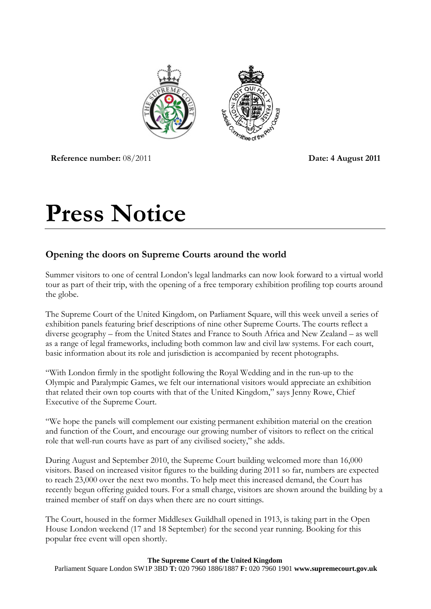

**Reference number:**  $08/2011$  **Date: 4 August 2011** 

# **Press Notice**

# **Opening the doors on Supreme Courts around the world**

Summer visitors to one of central London's legal landmarks can now look forward to a virtual world tour as part of their trip, with the opening of a free temporary exhibition profiling top courts around the globe.

The Supreme Court of the United Kingdom, on Parliament Square, will this week unveil a series of exhibition panels featuring brief descriptions of nine other Supreme Courts. The courts reflect a diverse geography – from the United States and France to South Africa and New Zealand – as well as a range of legal frameworks, including both common law and civil law systems. For each court, basic information about its role and jurisdiction is accompanied by recent photographs.

"With London firmly in the spotlight following the Royal Wedding and in the run-up to the Olympic and Paralympic Games, we felt our international visitors would appreciate an exhibition that related their own top courts with that of the United Kingdom," says Jenny Rowe, Chief Executive of the Supreme Court.

"We hope the panels will complement our existing permanent exhibition material on the creation and function of the Court, and encourage our growing number of visitors to reflect on the critical role that well-run courts have as part of any civilised society," she adds.

During August and September 2010, the Supreme Court building welcomed more than 16,000 visitors. Based on increased visitor figures to the building during 2011 so far, numbers are expected to reach 23,000 over the next two months. To help meet this increased demand, the Court has recently begun offering guided tours. For a small charge, visitors are shown around the building by a trained member of staff on days when there are no court sittings.

The Court, housed in the former Middlesex Guildhall opened in 1913, is taking part in the Open House London weekend (17 and 18 September) for the second year running. Booking for this popular free event will open shortly.

#### **The Supreme Court of the United Kingdom**

Parliament Square London SW1P 3BD **T:** 020 7960 1886/1887 **F:** 020 7960 1901 **www.supremecourt.gov.uk**